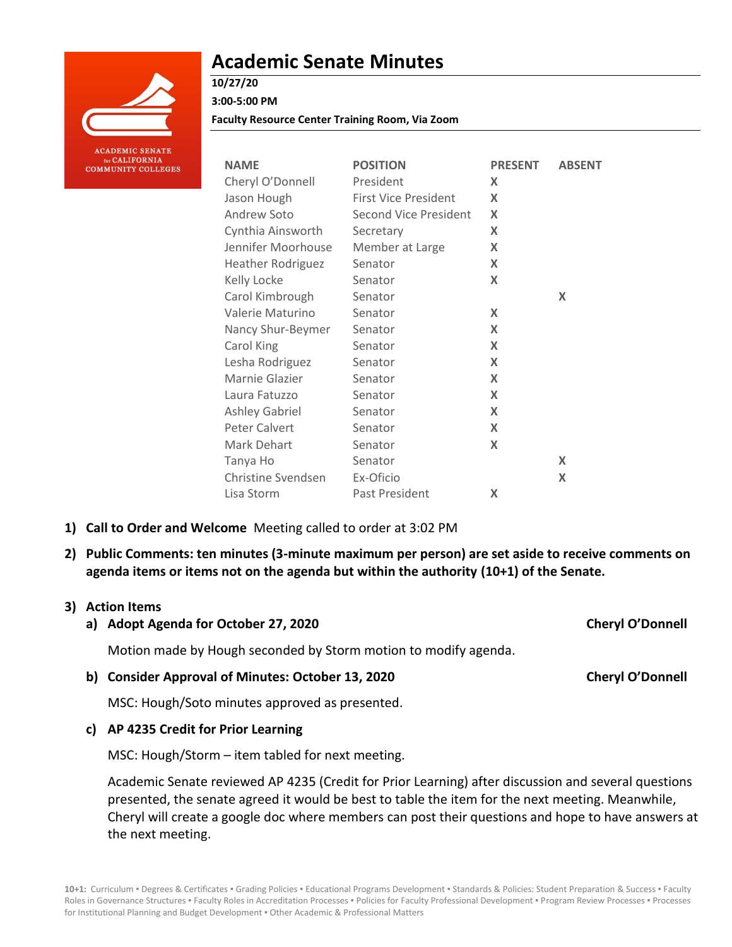

# **Academic Senate Minutes**

**10/27/20**

**3:00-5:00 PM**

**Faculty Resource Center Training Room, Via Zoom**

| <b>NAME</b>               | <b>POSITION</b>              | <b>PRESENT</b>            | <b>ABSENT</b> |
|---------------------------|------------------------------|---------------------------|---------------|
| Cheryl O'Donnell          | President                    | X                         |               |
| Jason Hough               | <b>First Vice President</b>  | X                         |               |
| Andrew Soto               | <b>Second Vice President</b> | X                         |               |
| Cynthia Ainsworth         | Secretary                    | X                         |               |
| Jennifer Moorhouse        | Member at Large              | X                         |               |
| <b>Heather Rodriguez</b>  | Senator                      | X                         |               |
| Kelly Locke               | Senator                      | X                         |               |
| Carol Kimbrough           | Senator                      |                           | X             |
| Valerie Maturino          | Senator                      | X                         |               |
| Nancy Shur-Beymer         | Senator                      | X                         |               |
| Carol King                | Senator                      | X                         |               |
| Lesha Rodriguez           | Senator                      | X                         |               |
| Marnie Glazier            | Senator                      | X                         |               |
| Laura Fatuzzo             | Senator                      | X                         |               |
| <b>Ashley Gabriel</b>     | Senator                      | X                         |               |
| Peter Calvert             | Senator                      | $\boldsymbol{\mathsf{X}}$ |               |
| Mark Dehart               | Senator                      | X                         |               |
| Tanya Ho                  | Senator                      |                           | X             |
| <b>Christine Svendsen</b> | Ex-Oficio                    |                           | X             |
| Lisa Storm                | Past President               | X                         |               |

- **1) Call to Order and Welcome** Meeting called to order at 3:02 PM
- **2) Public Comments: ten minutes (3-minute maximum per person) are set aside to receive comments on agenda items or items not on the agenda but within the authority (10+1) of the Senate.**

### **3) Action Items**

**a) Adopt Agenda for October 27, 2020 Cheryl O'Donnell**

Motion made by Hough seconded by Storm motion to modify agenda.

**b) Consider Approval of Minutes: October 13, 2020 Cheryl O'Donnell**

MSC: Hough/Soto minutes approved as presented.

### **c) AP 4235 Credit for Prior Learning**

MSC: Hough/Storm – item tabled for next meeting.

Academic Senate reviewed AP 4235 (Credit for Prior Learning) after discussion and several questions presented, the senate agreed it would be best to table the item for the next meeting. Meanwhile, Cheryl will create a google doc where members can post their questions and hope to have answers at the next meeting.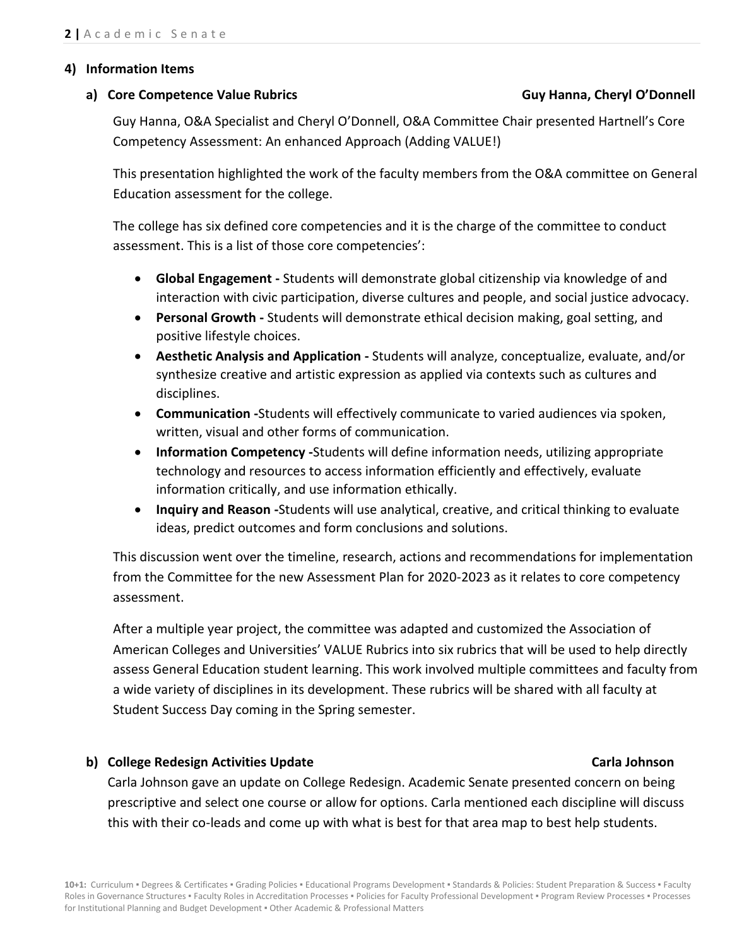#### **4) Information Items**

#### **a) Core Competence Value Rubrics Guy Hanna, Cheryl O'Donnell**

Guy Hanna, O&A Specialist and Cheryl O'Donnell, O&A Committee Chair presented Hartnell's Core Competency Assessment: An enhanced Approach (Adding VALUE!)

This presentation highlighted the work of the faculty members from the O&A committee on General Education assessment for the college.

The college has six defined core competencies and it is the charge of the committee to conduct assessment. This is a list of those core competencies':

- **Global Engagement -** Students will demonstrate global citizenship via knowledge of and interaction with civic participation, diverse cultures and people, and social justice advocacy.
- **Personal Growth -** Students will demonstrate ethical decision making, goal setting, and positive lifestyle choices.
- **Aesthetic Analysis and Application -** Students will analyze, conceptualize, evaluate, and/or synthesize creative and artistic expression as applied via contexts such as cultures and disciplines.
- **Communication -**Students will effectively communicate to varied audiences via spoken, written, visual and other forms of communication.
- **Information Competency -**Students will define information needs, utilizing appropriate technology and resources to access information efficiently and effectively, evaluate information critically, and use information ethically.
- **Inquiry and Reason -**Students will use analytical, creative, and critical thinking to evaluate ideas, predict outcomes and form conclusions and solutions.

This discussion went over the timeline, research, actions and recommendations for implementation from the Committee for the new Assessment Plan for 2020-2023 as it relates to core competency assessment.

After a multiple year project, the committee was adapted and customized the Association of American Colleges and Universities' VALUE Rubrics into six rubrics that will be used to help directly assess General Education student learning. This work involved multiple committees and faculty from a wide variety of disciplines in its development. These rubrics will be shared with all faculty at Student Success Day coming in the Spring semester.

## **b) College Redesign Activities Update Carla Johnson**

Carla Johnson gave an update on College Redesign. Academic Senate presented concern on being prescriptive and select one course or allow for options. Carla mentioned each discipline will discuss this with their co-leads and come up with what is best for that area map to best help students.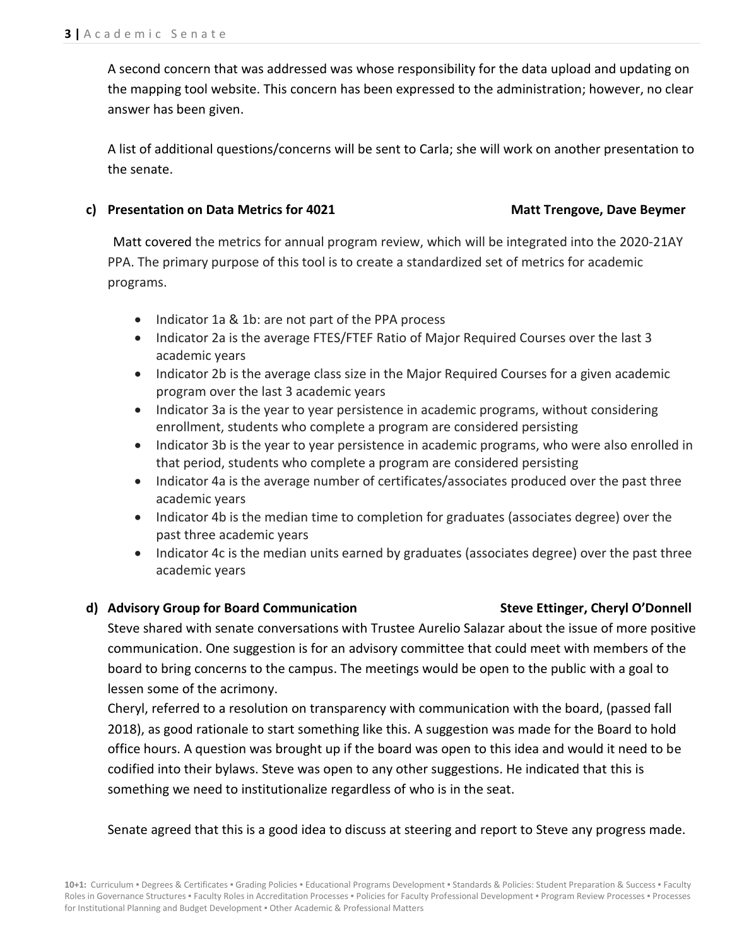A second concern that was addressed was whose responsibility for the data upload and updating on the mapping tool website. This concern has been expressed to the administration; however, no clear answer has been given.

A list of additional questions/concerns will be sent to Carla; she will work on another presentation to the senate.

### **c) Presentation on Data Metrics for 4021 Matt Trengove, Dave Beymer**

Matt covered the metrics for annual program review, which will be integrated into the 2020-21AY PPA. The primary purpose of this tool is to create a standardized set of metrics for academic programs.

- Indicator 1a & 1b: are not part of the PPA process
- Indicator 2a is the average FTES/FTEF Ratio of Major Required Courses over the last 3 academic years
- Indicator 2b is the average class size in the Major Required Courses for a given academic program over the last 3 academic years
- Indicator 3a is the year to year persistence in academic programs, without considering enrollment, students who complete a program are considered persisting
- Indicator 3b is the year to year persistence in academic programs, who were also enrolled in that period, students who complete a program are considered persisting
- Indicator 4a is the average number of certificates/associates produced over the past three academic years
- Indicator 4b is the median time to completion for graduates (associates degree) over the past three academic years
- Indicator 4c is the median units earned by graduates (associates degree) over the past three academic years

### **d) Advisory Group for Board Communication Steve Ettinger, Cheryl O'Donnell**

Steve shared with senate conversations with Trustee Aurelio Salazar about the issue of more positive communication. One suggestion is for an advisory committee that could meet with members of the board to bring concerns to the campus. The meetings would be open to the public with a goal to lessen some of the acrimony.

Cheryl, referred to a resolution on transparency with communication with the board, (passed fall 2018), as good rationale to start something like this. A suggestion was made for the Board to hold office hours. A question was brought up if the board was open to this idea and would it need to be codified into their bylaws. Steve was open to any other suggestions. He indicated that this is something we need to institutionalize regardless of who is in the seat.

Senate agreed that this is a good idea to discuss at steering and report to Steve any progress made.